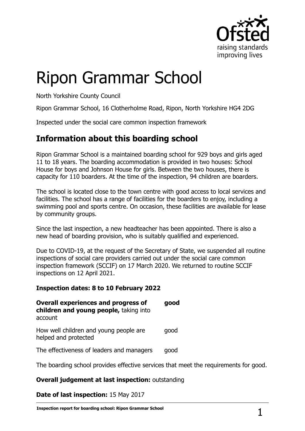

# Ripon Grammar School

North Yorkshire County Council

Ripon Grammar School, 16 Clotherholme Road, Ripon, North Yorkshire HG4 2DG

Inspected under the social care common inspection framework

## **Information about this boarding school**

Ripon Grammar School is a maintained boarding school for 929 boys and girls aged 11 to 18 years. The boarding accommodation is provided in two houses: School House for boys and Johnson House for girls. Between the two houses, there is capacity for 110 boarders. At the time of the inspection, 94 children are boarders.

The school is located close to the town centre with good access to local services and facilities. The school has a range of facilities for the boarders to enjoy, including a swimming pool and sports centre. On occasion, these facilities are available for lease by community groups.

Since the last inspection, a new headteacher has been appointed. There is also a new head of boarding provision, who is suitably qualified and experienced.

Due to COVID-19, at the request of the Secretary of State, we suspended all routine inspections of social care providers carried out under the social care common inspection framework (SCCIF) on 17 March 2020. We returned to routine SCCIF inspections on 12 April 2021.

#### **Inspection dates: 8 to 10 February 2022**

**Overall experiences and progress of children and young people,** taking into account **good** How well children and young people are helped and protected good The effectiveness of leaders and managers good

The boarding school provides effective services that meet the requirements for good.

#### **Overall judgement at last inspection:** outstanding

**Date of last inspection:** 15 May 2017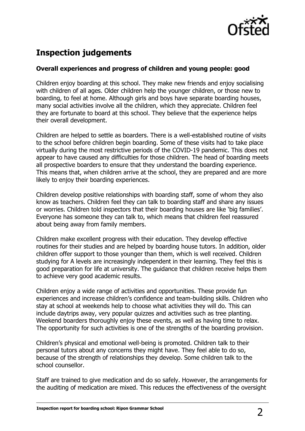

# **Inspection judgements**

#### **Overall experiences and progress of children and young people: good**

Children enjoy boarding at this school. They make new friends and enjoy socialising with children of all ages. Older children help the younger children, or those new to boarding, to feel at home. Although girls and boys have separate boarding houses, many social activities involve all the children, which they appreciate. Children feel they are fortunate to board at this school. They believe that the experience helps their overall development.

Children are helped to settle as boarders. There is a well-established routine of visits to the school before children begin boarding. Some of these visits had to take place virtually during the most restrictive periods of the COVID-19 pandemic. This does not appear to have caused any difficulties for those children. The head of boarding meets all prospective boarders to ensure that they understand the boarding experience. This means that, when children arrive at the school, they are prepared and are more likely to enjoy their boarding experiences.

Children develop positive relationships with boarding staff, some of whom they also know as teachers. Children feel they can talk to boarding staff and share any issues or worries. Children told inspectors that their boarding houses are like 'big families'. Everyone has someone they can talk to, which means that children feel reassured about being away from family members.

Children make excellent progress with their education. They develop effective routines for their studies and are helped by boarding house tutors. In addition, older children offer support to those younger than them, which is well received. Children studying for A levels are increasingly independent in their learning. They feel this is good preparation for life at university. The guidance that children receive helps them to achieve very good academic results.

Children enjoy a wide range of activities and opportunities. These provide fun experiences and increase children's confidence and team-building skills. Children who stay at school at weekends help to choose what activities they will do. This can include daytrips away, very popular quizzes and activities such as tree planting. Weekend boarders thoroughly enjoy these events, as well as having time to relax. The opportunity for such activities is one of the strengths of the boarding provision.

Children's physical and emotional well-being is promoted. Children talk to their personal tutors about any concerns they might have. They feel able to do so, because of the strength of relationships they develop. Some children talk to the school counsellor.

Staff are trained to give medication and do so safely. However, the arrangements for the auditing of medication are mixed. This reduces the effectiveness of the oversight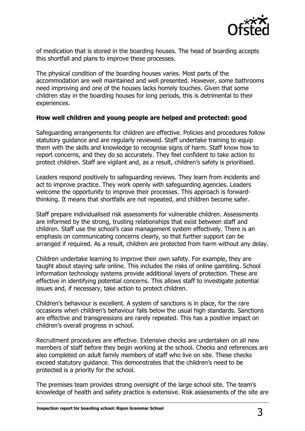

of medication that is stored in the boarding houses. The head of boarding accepts this shortfall and plans to improve these processes.

The physical condition of the boarding houses varies. Most parts of the accommodation are well maintained and well presented. However, some bathrooms need improving and one of the houses lacks homely touches. Given that some children stay in the boarding houses for long periods, this is detrimental to their experiences.

#### **How well children and young people are helped and protected: good**

Safeguarding arrangements for children are effective. Policies and procedures follow statutory guidance and are regularly reviewed. Staff undertake training to equip them with the skills and knowledge to recognise signs of harm. Staff know how to report concerns, and they do so accurately. They feel confident to take action to protect children. Staff are vigilant and, as a result, children's safety is prioritised.

Leaders respond positively to safeguarding reviews. They learn from incidents and act to improve practice. They work openly with safeguarding agencies. Leaders welcome the opportunity to improve their processes. This approach is forwardthinking. It means that shortfalls are not repeated, and children become safer.

Staff prepare individualised risk assessments for vulnerable children. Assessments are informed by the strong, trusting relationships that exist between staff and children. Staff use the school's case management system effectively. There is an emphasis on communicating concerns clearly, so that further support can be arranged if required. As a result, children are protected from harm without any delay.

Children undertake learning to improve their own safety. For example, they are taught about staying safe online. This includes the risks of online gambling. School information technology systems provide additional layers of protection. These are effective in identifying potential concerns. This allows staff to investigate potential issues and, if necessary, take action to protect children.

Children's behaviour is excellent. A system of sanctions is in place, for the rare occasions when children's behaviour falls below the usual high standards. Sanctions are effective and transgressions are rarely repeated. This has a positive impact on children's overall progress in school.

Recruitment procedures are effective. Extensive checks are undertaken on all new members of staff before they begin working at the school. Checks and references are also completed on adult family members of staff who live on site. These checks exceed statutory guidance. This demonstrates that the children's need to be protected is a priority for the school.

The premises team provides strong oversight of the large school site. The team's knowledge of health and safety practice is extensive. Risk assessments of the site are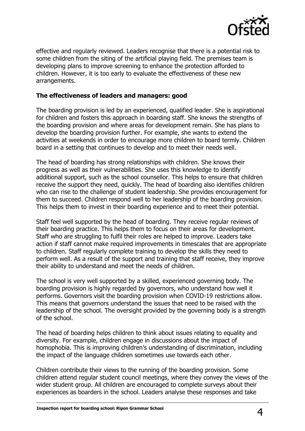

effective and regularly reviewed. Leaders recognise that there is a potential risk to some children from the siting of the artificial playing field. The premises team is developing plans to improve screening to enhance the protection afforded to children. However, it is too early to evaluate the effectiveness of these new arrangements.

#### **The effectiveness of leaders and managers: good**

The boarding provision is led by an experienced, qualified leader. She is aspirational for children and fosters this approach in boarding staff. She knows the strengths of the boarding provision and where areas for development remain. She has plans to develop the boarding provision further. For example, she wants to extend the activities at weekends in order to encourage more children to board termly. Children board in a setting that continues to develop and to meet their needs well.

The head of boarding has strong relationships with children. She knows their progress as well as their vulnerabilities. She uses this knowledge to identify additional support, such as the school counsellor. This helps to ensure that children receive the support they need, quickly. The head of boarding also identifies children who can rise to the challenge of student leadership. She provides encouragement for them to succeed. Children respond well to her leadership of the boarding provision. This helps them to invest in their boarding experience and to meet their potential.

Staff feel well supported by the head of boarding. They receive regular reviews of their boarding practice. This helps them to focus on their areas for development. Staff who are struggling to fulfil their roles are helped to improve. Leaders take action if staff cannot make required improvements in timescales that are appropriate to children. Staff regularly complete training to develop the skills they need to perform well. As a result of the support and training that staff receive, they improve their ability to understand and meet the needs of children.

The school is very well supported by a skilled, experienced governing body. The boarding provision is highly regarded by governors, who understand how well it performs. Governors visit the boarding provision when COVID-19 restrictions allow. This means that governors understand the issues that need to be raised with the leadership of the school. The oversight provided by the governing body is a strength of the school.

The head of boarding helps children to think about issues relating to equality and diversity. For example, children engage in discussions about the impact of homophobia. This is improving children's understanding of discrimination, including the impact of the language children sometimes use towards each other.

Children contribute their views to the running of the boarding provision. Some children attend regular student council meetings, where they convey the views of the wider student group. All children are encouraged to complete surveys about their experiences as boarders in the school. Leaders analyse these responses and take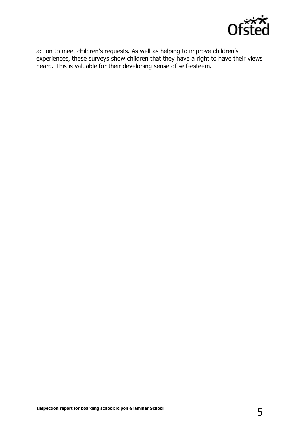

action to meet children's requests. As well as helping to improve children's experiences, these surveys show children that they have a right to have their views heard. This is valuable for their developing sense of self-esteem.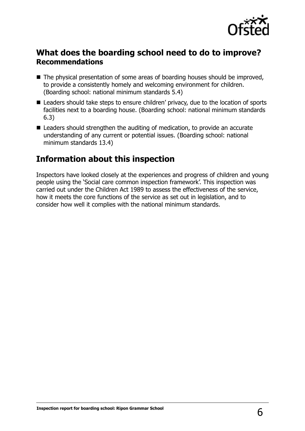

### **What does the boarding school need to do to improve? Recommendations**

- The physical presentation of some areas of boarding houses should be improved, to provide a consistently homely and welcoming environment for children. (Boarding school: national minimum standards 5.4)
- Leaders should take steps to ensure children' privacy, due to the location of sports facilities next to a boarding house. (Boarding school: national minimum standards 6.3)
- Leaders should strengthen the auditing of medication, to provide an accurate understanding of any current or potential issues. (Boarding school: national minimum standards 13.4)

## **Information about this inspection**

Inspectors have looked closely at the experiences and progress of children and young people using the 'Social care common inspection framework'. This inspection was carried out under the Children Act 1989 to assess the effectiveness of the service, how it meets the core functions of the service as set out in legislation, and to consider how well it complies with the national minimum standards.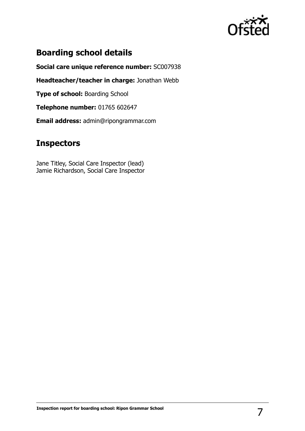

## **Boarding school details**

**Social care unique reference number:** SC007938

**Headteacher/teacher in charge:** Jonathan Webb

**Type of school: Boarding School** 

**Telephone number:** 01765 602647

**Email address:** admin@ripongrammar.com

## **Inspectors**

Jane Titley, Social Care Inspector (lead) Jamie Richardson, Social Care Inspector